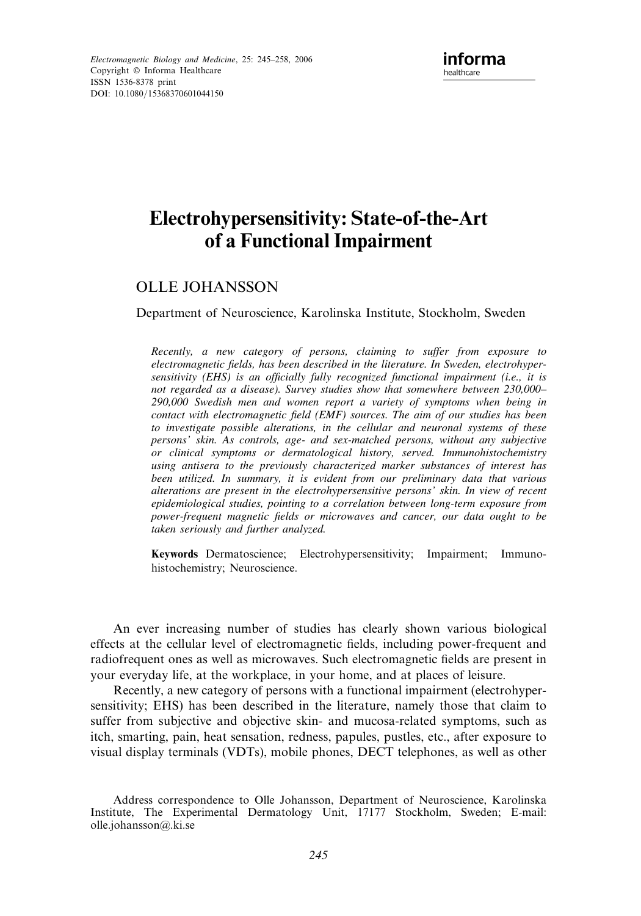## **Electrohypersensitivity: State-of-the-Art of a Functional Impairment**

## OLLE JOHANSSON

Department of Neuroscience, Karolinska Institute, Stockholm, Sweden

*Recently, a new category of persons, claiming to suffer from exposure to electromagnetic fields, has been described in the literature. In Sweden, electrohypersensitivity (EHS) is an officially fully recognized functional impairment (i.e., it is not regarded as a disease). Survey studies show that somewhere between 230,000– 290,000 Swedish men and women report a variety of symptoms when being in contact with electromagnetic field (EMF) sources. The aim of our studies has been to investigate possible alterations, in the cellular and neuronal systems of these persons' skin. As controls, age- and sex-matched persons, without any subjective or clinical symptoms or dermatological history, served. Immunohistochemistry using antisera to the previously characterized marker substances of interest has been utilized. In summary, it is evident from our preliminary data that various alterations are present in the electrohypersensitive persons' skin. In view of recent epidemiological studies, pointing to a correlation between long-term exposure from power-frequent magnetic fields or microwaves and cancer, our data ought to be taken seriously and further analyzed.*

**Keywords** Dermatoscience; Electrohypersensitivity; Impairment; Immunohistochemistry; Neuroscience.

An ever increasing number of studies has clearly shown various biological effects at the cellular level of electromagnetic fields, including power-frequent and radiofrequent ones as well as microwaves. Such electromagnetic fields are present in your everyday life, at the workplace, in your home, and at places of leisure.

Recently, a new category of persons with a functional impairment (electrohypersensitivity; EHS) has been described in the literature, namely those that claim to suffer from subjective and objective skin- and mucosa-related symptoms, such as itch, smarting, pain, heat sensation, redness, papules, pustles, etc., after exposure to visual display terminals (VDTs), mobile phones, DECT telephones, as well as other

Address correspondence to Olle Johansson, Department of Neuroscience, Karolinska Institute, The Experimental Dermatology Unit, 17177 Stockholm, Sweden; E-mail: olle.johansson@.ki.se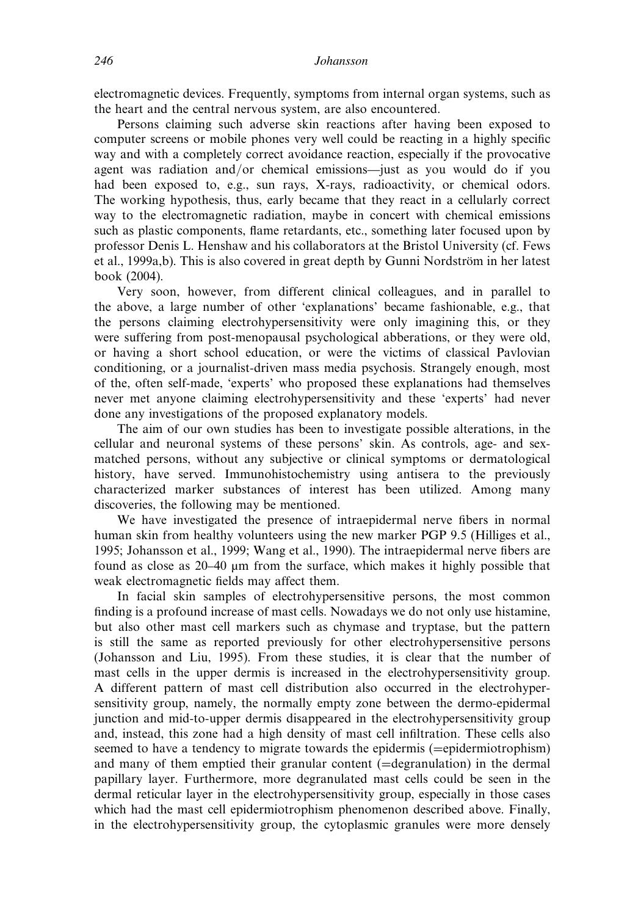electromagnetic devices. Frequently, symptoms from internal organ systems, such as the heart and the central nervous system, are also encountered.

Persons claiming such adverse skin reactions after having been exposed to computer screens or mobile phones very well could be reacting in a highly specific way and with a completely correct avoidance reaction, especially if the provocative agent was radiation and/or chemical emissions—just as you would do if you had been exposed to, e.g., sun rays, X-rays, radioactivity, or chemical odors. The working hypothesis, thus, early became that they react in a cellularly correct way to the electromagnetic radiation, maybe in concert with chemical emissions such as plastic components, flame retardants, etc., something later focused upon by professor Denis L. Henshaw and his collaborators at the Bristol University (cf. Fews et al., 1999a,b). This is also covered in great depth by Gunni Nordström in her latest book (2004).

Very soon, however, from different clinical colleagues, and in parallel to the above, a large number of other 'explanations' became fashionable, e.g., that the persons claiming electrohypersensitivity were only imagining this, or they were suffering from post-menopausal psychological abberations, or they were old, or having a short school education, or were the victims of classical Pavlovian conditioning, or a journalist-driven mass media psychosis. Strangely enough, most of the, often self-made, 'experts' who proposed these explanations had themselves never met anyone claiming electrohypersensitivity and these 'experts' had never done any investigations of the proposed explanatory models.

The aim of our own studies has been to investigate possible alterations, in the cellular and neuronal systems of these persons' skin. As controls, age- and sexmatched persons, without any subjective or clinical symptoms or dermatological history, have served. Immunohistochemistry using antisera to the previously characterized marker substances of interest has been utilized. Among many discoveries, the following may be mentioned.

We have investigated the presence of intraepidermal nerve fibers in normal human skin from healthy volunteers using the new marker PGP 9.5 (Hilliges et al., 1995; Johansson et al., 1999; Wang et al., 1990). The intraepidermal nerve fibers are found as close as 20–40 µm from the surface, which makes it highly possible that weak electromagnetic fields may affect them.

In facial skin samples of electrohypersensitive persons, the most common finding is a profound increase of mast cells. Nowadays we do not only use histamine, but also other mast cell markers such as chymase and tryptase, but the pattern is still the same as reported previously for other electrohypersensitive persons (Johansson and Liu, 1995). From these studies, it is clear that the number of mast cells in the upper dermis is increased in the electrohypersensitivity group. A different pattern of mast cell distribution also occurred in the electrohypersensitivity group, namely, the normally empty zone between the dermo-epidermal junction and mid-to-upper dermis disappeared in the electrohypersensitivity group and, instead, this zone had a high density of mast cell infiltration. These cells also seemed to have a tendency to migrate towards the epidermis (=epidermiotrophism) and many of them emptied their granular content (=degranulation) in the dermal papillary layer. Furthermore, more degranulated mast cells could be seen in the dermal reticular layer in the electrohypersensitivity group, especially in those cases which had the mast cell epidermiotrophism phenomenon described above. Finally, in the electrohypersensitivity group, the cytoplasmic granules were more densely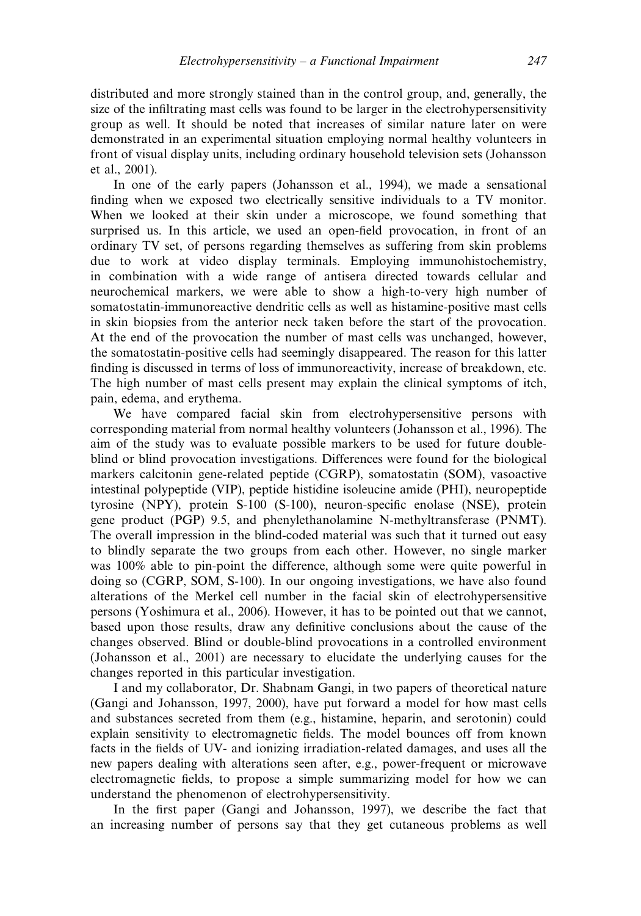distributed and more strongly stained than in the control group, and, generally, the size of the infiltrating mast cells was found to be larger in the electrohypersensitivity group as well. It should be noted that increases of similar nature later on were demonstrated in an experimental situation employing normal healthy volunteers in front of visual display units, including ordinary household television sets (Johansson et al., 2001).

In one of the early papers (Johansson et al., 1994), we made a sensational finding when we exposed two electrically sensitive individuals to a TV monitor. When we looked at their skin under a microscope, we found something that surprised us. In this article, we used an open-field provocation, in front of an ordinary TV set, of persons regarding themselves as suffering from skin problems due to work at video display terminals. Employing immunohistochemistry, in combination with a wide range of antisera directed towards cellular and neurochemical markers, we were able to show a high-to-very high number of somatostatin-immunoreactive dendritic cells as well as histamine-positive mast cells in skin biopsies from the anterior neck taken before the start of the provocation. At the end of the provocation the number of mast cells was unchanged, however, the somatostatin-positive cells had seemingly disappeared. The reason for this latter finding is discussed in terms of loss of immunoreactivity, increase of breakdown, etc. The high number of mast cells present may explain the clinical symptoms of itch, pain, edema, and erythema.

We have compared facial skin from electrohypersensitive persons with corresponding material from normal healthy volunteers (Johansson et al., 1996). The aim of the study was to evaluate possible markers to be used for future doubleblind or blind provocation investigations. Differences were found for the biological markers calcitonin gene-related peptide (CGRP), somatostatin (SOM), vasoactive intestinal polypeptide (VIP), peptide histidine isoleucine amide (PHI), neuropeptide tyrosine (NPY), protein S-100 (S-100), neuron-specific enolase (NSE), protein gene product (PGP) 9.5, and phenylethanolamine N-methyltransferase (PNMT). The overall impression in the blind-coded material was such that it turned out easy to blindly separate the two groups from each other. However, no single marker was 100% able to pin-point the difference, although some were quite powerful in doing so (CGRP, SOM, S-100). In our ongoing investigations, we have also found alterations of the Merkel cell number in the facial skin of electrohypersensitive persons (Yoshimura et al., 2006). However, it has to be pointed out that we cannot, based upon those results, draw any definitive conclusions about the cause of the changes observed. Blind or double-blind provocations in a controlled environment (Johansson et al., 2001) are necessary to elucidate the underlying causes for the changes reported in this particular investigation.

I and my collaborator, Dr. Shabnam Gangi, in two papers of theoretical nature (Gangi and Johansson, 1997, 2000), have put forward a model for how mast cells and substances secreted from them (e.g., histamine, heparin, and serotonin) could explain sensitivity to electromagnetic fields. The model bounces off from known facts in the fields of UV- and ionizing irradiation-related damages, and uses all the new papers dealing with alterations seen after, e.g., power-frequent or microwave electromagnetic fields, to propose a simple summarizing model for how we can understand the phenomenon of electrohypersensitivity.

In the first paper (Gangi and Johansson, 1997), we describe the fact that an increasing number of persons say that they get cutaneous problems as well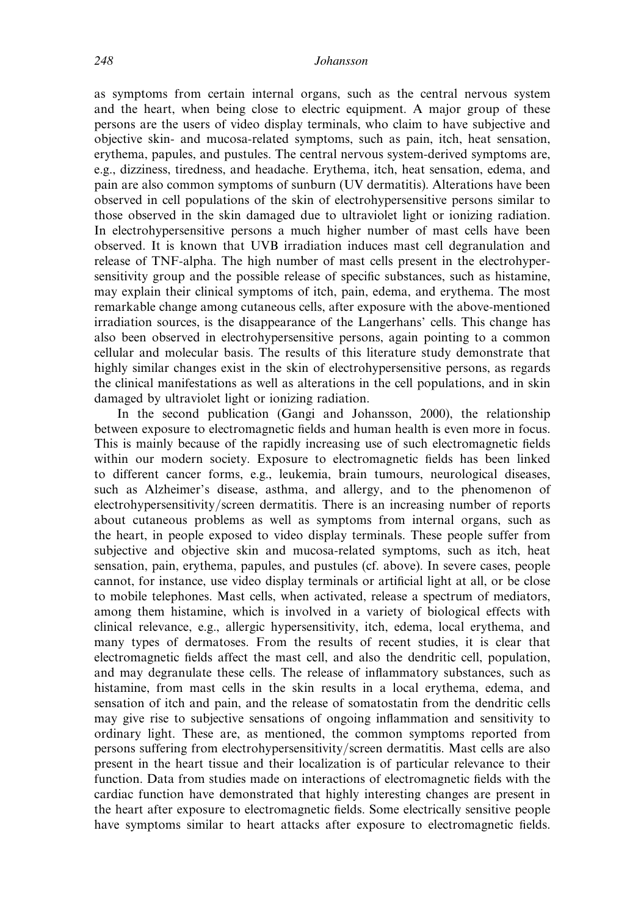as symptoms from certain internal organs, such as the central nervous system and the heart, when being close to electric equipment. A major group of these persons are the users of video display terminals, who claim to have subjective and objective skin- and mucosa-related symptoms, such as pain, itch, heat sensation, erythema, papules, and pustules. The central nervous system-derived symptoms are, e.g., dizziness, tiredness, and headache. Erythema, itch, heat sensation, edema, and pain are also common symptoms of sunburn (UV dermatitis). Alterations have been observed in cell populations of the skin of electrohypersensitive persons similar to those observed in the skin damaged due to ultraviolet light or ionizing radiation. In electrohypersensitive persons a much higher number of mast cells have been observed. It is known that UVB irradiation induces mast cell degranulation and release of TNF-alpha. The high number of mast cells present in the electrohypersensitivity group and the possible release of specific substances, such as histamine, may explain their clinical symptoms of itch, pain, edema, and erythema. The most remarkable change among cutaneous cells, after exposure with the above-mentioned irradiation sources, is the disappearance of the Langerhans' cells. This change has also been observed in electrohypersensitive persons, again pointing to a common cellular and molecular basis. The results of this literature study demonstrate that highly similar changes exist in the skin of electrohypersensitive persons, as regards the clinical manifestations as well as alterations in the cell populations, and in skin damaged by ultraviolet light or ionizing radiation.

In the second publication (Gangi and Johansson, 2000), the relationship between exposure to electromagnetic fields and human health is even more in focus. This is mainly because of the rapidly increasing use of such electromagnetic fields within our modern society. Exposure to electromagnetic fields has been linked to different cancer forms, e.g., leukemia, brain tumours, neurological diseases, such as Alzheimer's disease, asthma, and allergy, and to the phenomenon of electrohypersensitivity/screen dermatitis. There is an increasing number of reports about cutaneous problems as well as symptoms from internal organs, such as the heart, in people exposed to video display terminals. These people suffer from subjective and objective skin and mucosa-related symptoms, such as itch, heat sensation, pain, erythema, papules, and pustules (cf. above). In severe cases, people cannot, for instance, use video display terminals or artificial light at all, or be close to mobile telephones. Mast cells, when activated, release a spectrum of mediators, among them histamine, which is involved in a variety of biological effects with clinical relevance, e.g., allergic hypersensitivity, itch, edema, local erythema, and many types of dermatoses. From the results of recent studies, it is clear that electromagnetic fields affect the mast cell, and also the dendritic cell, population, and may degranulate these cells. The release of inflammatory substances, such as histamine, from mast cells in the skin results in a local erythema, edema, and sensation of itch and pain, and the release of somatostatin from the dendritic cells may give rise to subjective sensations of ongoing inflammation and sensitivity to ordinary light. These are, as mentioned, the common symptoms reported from persons suffering from electrohypersensitivity/screen dermatitis. Mast cells are also present in the heart tissue and their localization is of particular relevance to their function. Data from studies made on interactions of electromagnetic fields with the cardiac function have demonstrated that highly interesting changes are present in the heart after exposure to electromagnetic fields. Some electrically sensitive people have symptoms similar to heart attacks after exposure to electromagnetic fields.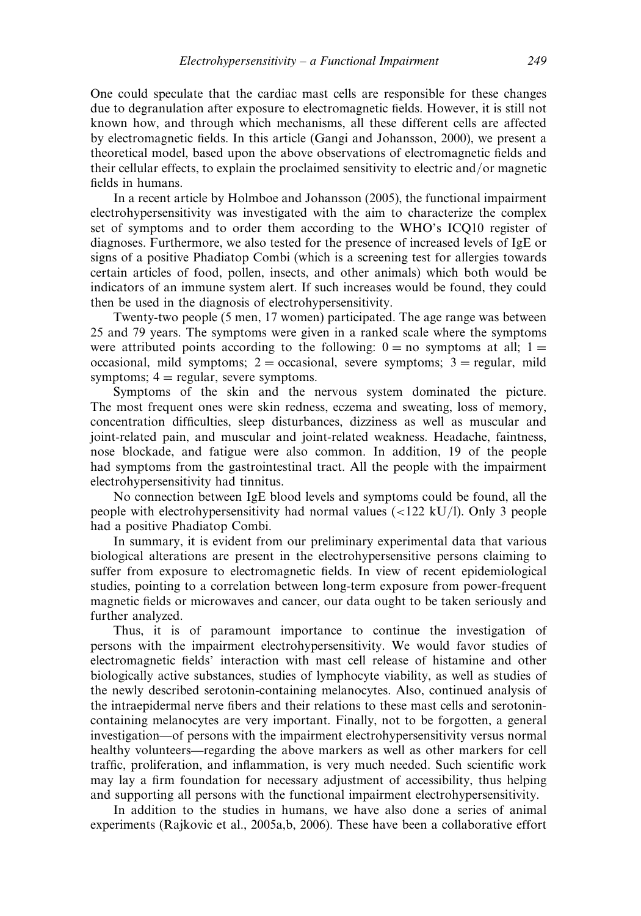One could speculate that the cardiac mast cells are responsible for these changes due to degranulation after exposure to electromagnetic fields. However, it is still not known how, and through which mechanisms, all these different cells are affected by electromagnetic fields. In this article (Gangi and Johansson, 2000), we present a theoretical model, based upon the above observations of electromagnetic fields and their cellular effects, to explain the proclaimed sensitivity to electric and/or magnetic fields in humans.

In a recent article by Holmboe and Johansson (2005), the functional impairment electrohypersensitivity was investigated with the aim to characterize the complex set of symptoms and to order them according to the WHO's ICQ10 register of diagnoses. Furthermore, we also tested for the presence of increased levels of IgE or signs of a positive Phadiatop Combi (which is a screening test for allergies towards certain articles of food, pollen, insects, and other animals) which both would be indicators of an immune system alert. If such increases would be found, they could then be used in the diagnosis of electrohypersensitivity.

Twenty-two people (5 men, 17 women) participated. The age range was between 25 and 79 years. The symptoms were given in a ranked scale where the symptoms were attributed points according to the following:  $0 =$  no symptoms at all;  $1 =$ occasional, mild symptoms;  $2 = \text{occasional}$ , severe symptoms;  $3 = \text{regular}$ , mild symptoms;  $4 =$  regular, severe symptoms.

Symptoms of the skin and the nervous system dominated the picture. The most frequent ones were skin redness, eczema and sweating, loss of memory, concentration difficulties, sleep disturbances, dizziness as well as muscular and joint-related pain, and muscular and joint-related weakness. Headache, faintness, nose blockade, and fatigue were also common. In addition, 19 of the people had symptoms from the gastrointestinal tract. All the people with the impairment electrohypersensitivity had tinnitus.

No connection between IgE blood levels and symptoms could be found, all the people with electrohypersensitivity had normal values (<122 kU/l). Only 3 people had a positive Phadiatop Combi.

In summary, it is evident from our preliminary experimental data that various biological alterations are present in the electrohypersensitive persons claiming to suffer from exposure to electromagnetic fields. In view of recent epidemiological studies, pointing to a correlation between long-term exposure from power-frequent magnetic fields or microwaves and cancer, our data ought to be taken seriously and further analyzed.

Thus, it is of paramount importance to continue the investigation of persons with the impairment electrohypersensitivity. We would favor studies of electromagnetic fields' interaction with mast cell release of histamine and other biologically active substances, studies of lymphocyte viability, as well as studies of the newly described serotonin-containing melanocytes. Also, continued analysis of the intraepidermal nerve fibers and their relations to these mast cells and serotonincontaining melanocytes are very important. Finally, not to be forgotten, a general investigation—of persons with the impairment electrohypersensitivity versus normal healthy volunteers—regarding the above markers as well as other markers for cell traffic, proliferation, and inflammation, is very much needed. Such scientific work may lay a firm foundation for necessary adjustment of accessibility, thus helping and supporting all persons with the functional impairment electrohypersensitivity.

In addition to the studies in humans, we have also done a series of animal experiments (Rajkovic et al., 2005a,b, 2006). These have been a collaborative effort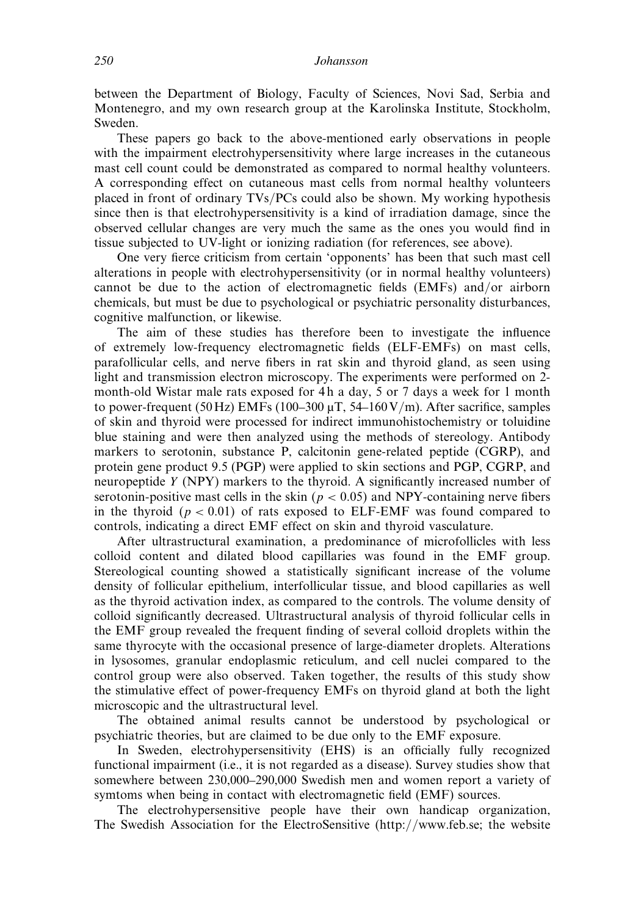between the Department of Biology, Faculty of Sciences, Novi Sad, Serbia and Montenegro, and my own research group at the Karolinska Institute, Stockholm, Sweden.

These papers go back to the above-mentioned early observations in people with the impairment electrohypersensitivity where large increases in the cutaneous mast cell count could be demonstrated as compared to normal healthy volunteers. A corresponding effect on cutaneous mast cells from normal healthy volunteers placed in front of ordinary TVs/PCs could also be shown. My working hypothesis since then is that electrohypersensitivity is a kind of irradiation damage, since the observed cellular changes are very much the same as the ones you would find in tissue subjected to UV-light or ionizing radiation (for references, see above).

One very fierce criticism from certain 'opponents' has been that such mast cell alterations in people with electrohypersensitivity (or in normal healthy volunteers) cannot be due to the action of electromagnetic fields (EMFs) and/or airborn chemicals, but must be due to psychological or psychiatric personality disturbances, cognitive malfunction, or likewise.

The aim of these studies has therefore been to investigate the influence of extremely low-frequency electromagnetic fields (ELF-EMFs) on mast cells, parafollicular cells, and nerve fibers in rat skin and thyroid gland, as seen using light and transmission electron microscopy. The experiments were performed on 2 month-old Wistar male rats exposed for 4 h a day, 5 or 7 days a week for 1 month to power-frequent (50 Hz) EMFs (100–300  $\mu$ T, 54–160 V/m). After sacrifice, samples of skin and thyroid were processed for indirect immunohistochemistry or toluidine blue staining and were then analyzed using the methods of stereology. Antibody markers to serotonin, substance P, calcitonin gene-related peptide (CGRP), and protein gene product 9.5 (PGP) were applied to skin sections and PGP, CGRP, and neuropeptide  $Y$  (NPY) markers to the thyroid. A significantly increased number of serotonin-positive mast cells in the skin ( $p < 0.05$ ) and NPY-containing nerve fibers in the thyroid  $(p < 0.01)$  of rats exposed to ELF-EMF was found compared to controls, indicating a direct EMF effect on skin and thyroid vasculature.

After ultrastructural examination, a predominance of microfollicles with less colloid content and dilated blood capillaries was found in the EMF group. Stereological counting showed a statistically significant increase of the volume density of follicular epithelium, interfollicular tissue, and blood capillaries as well as the thyroid activation index, as compared to the controls. The volume density of colloid significantly decreased. Ultrastructural analysis of thyroid follicular cells in the EMF group revealed the frequent finding of several colloid droplets within the same thyrocyte with the occasional presence of large-diameter droplets. Alterations in lysosomes, granular endoplasmic reticulum, and cell nuclei compared to the control group were also observed. Taken together, the results of this study show the stimulative effect of power-frequency EMFs on thyroid gland at both the light microscopic and the ultrastructural level.

The obtained animal results cannot be understood by psychological or psychiatric theories, but are claimed to be due only to the EMF exposure.

In Sweden, electrohypersensitivity (EHS) is an officially fully recognized functional impairment (i.e., it is not regarded as a disease). Survey studies show that somewhere between 230,000–290,000 Swedish men and women report a variety of symtoms when being in contact with electromagnetic field (EMF) sources.

The electrohypersensitive people have their own handicap organization, The Swedish Association for the ElectroSensitive (http://www.feb.se; the website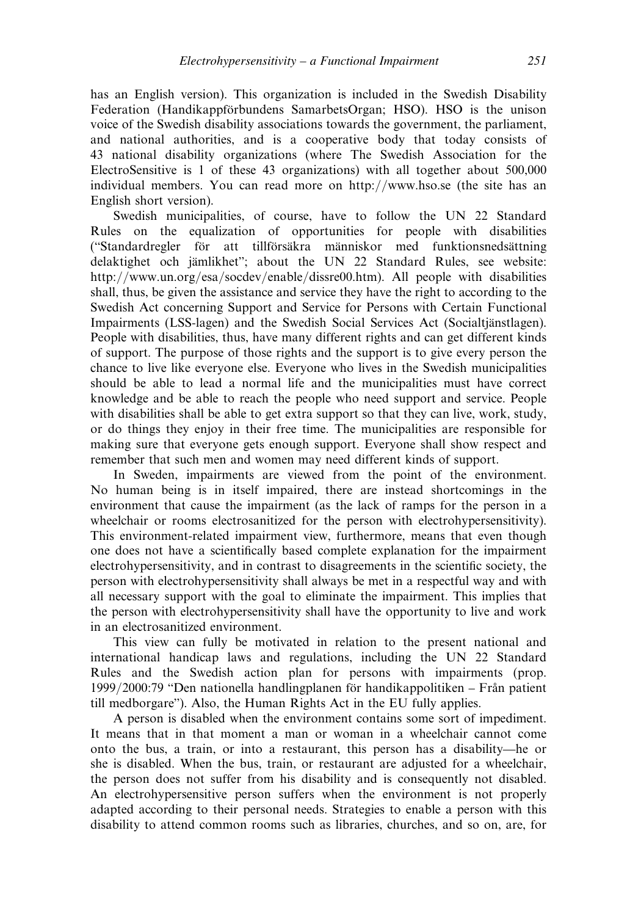has an English version). This organization is included in the Swedish Disability Federation (Handikappförbundens SamarbetsOrgan; HSO). HSO is the unison voice of the Swedish disability associations towards the government, the parliament, and national authorities, and is a cooperative body that today consists of 43 national disability organizations (where The Swedish Association for the ElectroSensitive is 1 of these 43 organizations) with all together about 500,000 individual members. You can read more on http://www.hso.se (the site has an English short version).

Swedish municipalities, of course, have to follow the UN 22 Standard Rules on the equalization of opportunities for people with disabilities ("Standardregler för att tillförsäkra människor med funktionsnedsättning delaktighet och jämlikhet"; about the UN 22 Standard Rules, see website: http://www.un.org/esa/socdev/enable/dissre00.htm). All people with disabilities shall, thus, be given the assistance and service they have the right to according to the Swedish Act concerning Support and Service for Persons with Certain Functional Impairments (LSS-lagen) and the Swedish Social Services Act (Socialtjänstlagen). People with disabilities, thus, have many different rights and can get different kinds of support. The purpose of those rights and the support is to give every person the chance to live like everyone else. Everyone who lives in the Swedish municipalities should be able to lead a normal life and the municipalities must have correct knowledge and be able to reach the people who need support and service. People with disabilities shall be able to get extra support so that they can live, work, study, or do things they enjoy in their free time. The municipalities are responsible for making sure that everyone gets enough support. Everyone shall show respect and remember that such men and women may need different kinds of support.

In Sweden, impairments are viewed from the point of the environment. No human being is in itself impaired, there are instead shortcomings in the environment that cause the impairment (as the lack of ramps for the person in a wheelchair or rooms electrosanitized for the person with electrohypersensitivity). This environment-related impairment view, furthermore, means that even though one does not have a scientifically based complete explanation for the impairment electrohypersensitivity, and in contrast to disagreements in the scientific society, the person with electrohypersensitivity shall always be met in a respectful way and with all necessary support with the goal to eliminate the impairment. This implies that the person with electrohypersensitivity shall have the opportunity to live and work in an electrosanitized environment.

This view can fully be motivated in relation to the present national and international handicap laws and regulations, including the UN 22 Standard Rules and the Swedish action plan for persons with impairments (prop. 1999/2000:79 "Den nationella handlingplanen för handikappolitiken – Från patient till medborgare"). Also, the Human Rights Act in the EU fully applies.

A person is disabled when the environment contains some sort of impediment. It means that in that moment a man or woman in a wheelchair cannot come onto the bus, a train, or into a restaurant, this person has a disability—he or she is disabled. When the bus, train, or restaurant are adjusted for a wheelchair, the person does not suffer from his disability and is consequently not disabled. An electrohypersensitive person suffers when the environment is not properly adapted according to their personal needs. Strategies to enable a person with this disability to attend common rooms such as libraries, churches, and so on, are, for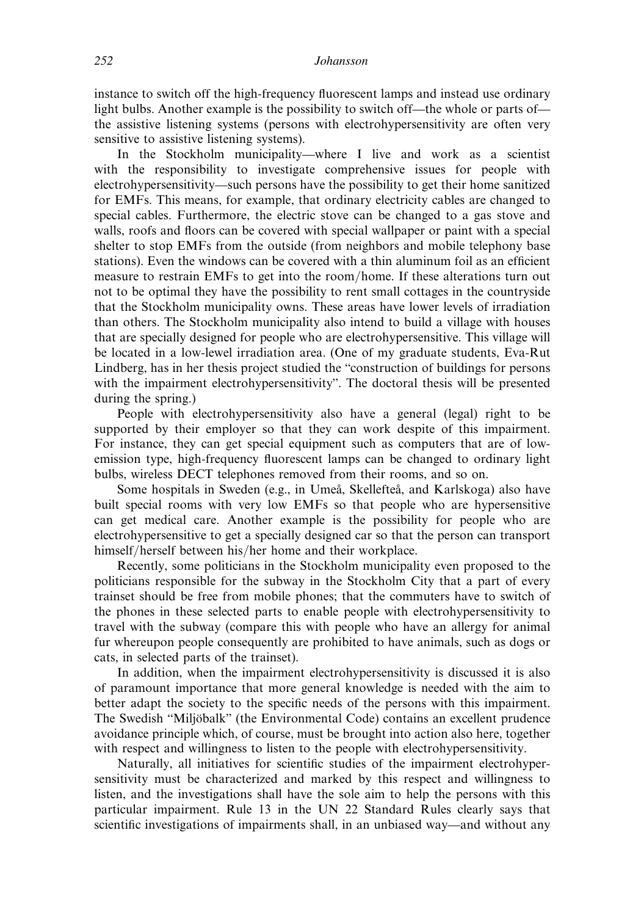instance to switch off the high-frequency fluorescent lamps and instead use ordinary light bulbs. Another example is the possibility to switch off—the whole or parts of the assistive listening systems (persons with electrohypersensitivity are often very sensitive to assistive listening systems).

In the Stockholm municipality—where I live and work as a scientist with the responsibility to investigate comprehensive issues for people with electrohypersensitivity—such persons have the possibility to get their home sanitized for EMFs. This means, for example, that ordinary electricity cables are changed to special cables. Furthermore, the electric stove can be changed to a gas stove and walls, roofs and floors can be covered with special wallpaper or paint with a special shelter to stop EMFs from the outside (from neighbors and mobile telephony base stations). Even the windows can be covered with a thin aluminum foil as an efficient measure to restrain EMFs to get into the room/home. If these alterations turn out not to be optimal they have the possibility to rent small cottages in the countryside that the Stockholm municipality owns. These areas have lower levels of irradiation than others. The Stockholm municipality also intend to build a village with houses that are specially designed for people who are electrohypersensitive. This village will be located in a low-lewel irradiation area. (One of my graduate students, Eva-Rut Lindberg, has in her thesis project studied the "construction of buildings for persons with the impairment electrohypersensitivity". The doctoral thesis will be presented during the spring.)

People with electrohypersensitivity also have a general (legal) right to be supported by their employer so that they can work despite of this impairment. For instance, they can get special equipment such as computers that are of lowemission type, high-frequency fluorescent lamps can be changed to ordinary light bulbs, wireless DECT telephones removed from their rooms, and so on.

Some hospitals in Sweden (e.g., in Umeå, Skellefteå, and Karlskoga) also have built special rooms with very low EMFs so that people who are hypersensitive can get medical care. Another example is the possibility for people who are electrohypersensitive to get a specially designed car so that the person can transport himself/herself between his/her home and their workplace.

Recently, some politicians in the Stockholm municipality even proposed to the politicians responsible for the subway in the Stockholm City that a part of every trainset should be free from mobile phones; that the commuters have to switch of the phones in these selected parts to enable people with electrohypersensitivity to travel with the subway (compare this with people who have an allergy for animal fur whereupon people consequently are prohibited to have animals, such as dogs or cats, in selected parts of the trainset).

In addition, when the impairment electrohypersensitivity is discussed it is also of paramount importance that more general knowledge is needed with the aim to better adapt the society to the specific needs of the persons with this impairment. The Swedish "Miljöbalk" (the Environmental Code) contains an excellent prudence avoidance principle which, of course, must be brought into action also here, together with respect and willingness to listen to the people with electrohypersensitivity.

Naturally, all initiatives for scientific studies of the impairment electrohypersensitivity must be characterized and marked by this respect and willingness to listen, and the investigations shall have the sole aim to help the persons with this particular impairment. Rule 13 in the UN 22 Standard Rules clearly says that scientific investigations of impairments shall, in an unbiased way—and without any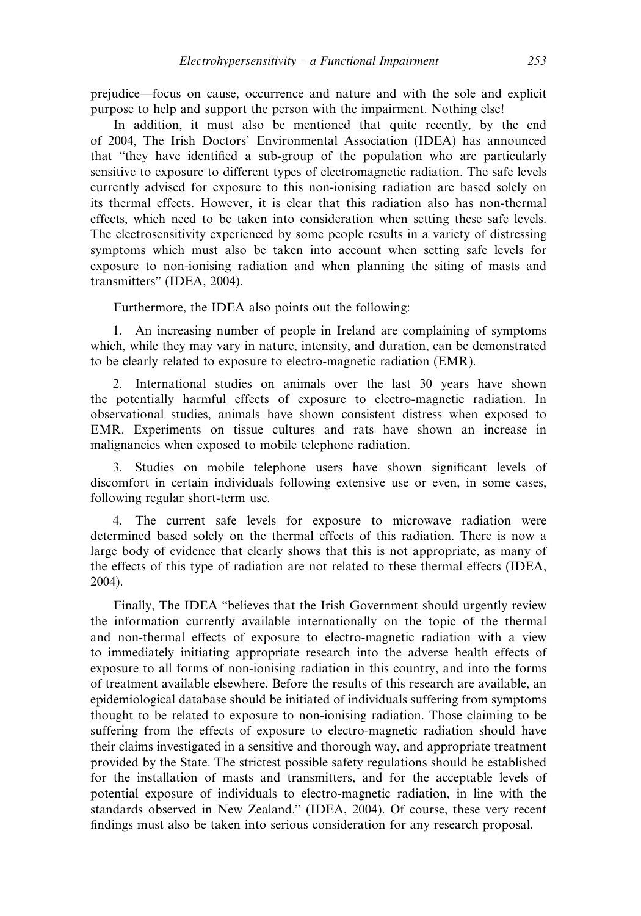prejudice—focus on cause, occurrence and nature and with the sole and explicit purpose to help and support the person with the impairment. Nothing else!

In addition, it must also be mentioned that quite recently, by the end of 2004, The Irish Doctors' Environmental Association (IDEA) has announced that "they have identified a sub-group of the population who are particularly sensitive to exposure to different types of electromagnetic radiation. The safe levels currently advised for exposure to this non-ionising radiation are based solely on its thermal effects. However, it is clear that this radiation also has non-thermal effects, which need to be taken into consideration when setting these safe levels. The electrosensitivity experienced by some people results in a variety of distressing symptoms which must also be taken into account when setting safe levels for exposure to non-ionising radiation and when planning the siting of masts and transmitters" (IDEA, 2004).

Furthermore, the IDEA also points out the following:

1. An increasing number of people in Ireland are complaining of symptoms which, while they may vary in nature, intensity, and duration, can be demonstrated to be clearly related to exposure to electro-magnetic radiation (EMR).

2. International studies on animals over the last 30 years have shown the potentially harmful effects of exposure to electro-magnetic radiation. In observational studies, animals have shown consistent distress when exposed to EMR. Experiments on tissue cultures and rats have shown an increase in malignancies when exposed to mobile telephone radiation.

3. Studies on mobile telephone users have shown significant levels of discomfort in certain individuals following extensive use or even, in some cases, following regular short-term use.

4. The current safe levels for exposure to microwave radiation were determined based solely on the thermal effects of this radiation. There is now a large body of evidence that clearly shows that this is not appropriate, as many of the effects of this type of radiation are not related to these thermal effects (IDEA, 2004).

Finally, The IDEA "believes that the Irish Government should urgently review the information currently available internationally on the topic of the thermal and non-thermal effects of exposure to electro-magnetic radiation with a view to immediately initiating appropriate research into the adverse health effects of exposure to all forms of non-ionising radiation in this country, and into the forms of treatment available elsewhere. Before the results of this research are available, an epidemiological database should be initiated of individuals suffering from symptoms thought to be related to exposure to non-ionising radiation. Those claiming to be suffering from the effects of exposure to electro-magnetic radiation should have their claims investigated in a sensitive and thorough way, and appropriate treatment provided by the State. The strictest possible safety regulations should be established for the installation of masts and transmitters, and for the acceptable levels of potential exposure of individuals to electro-magnetic radiation, in line with the standards observed in New Zealand." (IDEA, 2004). Of course, these very recent findings must also be taken into serious consideration for any research proposal.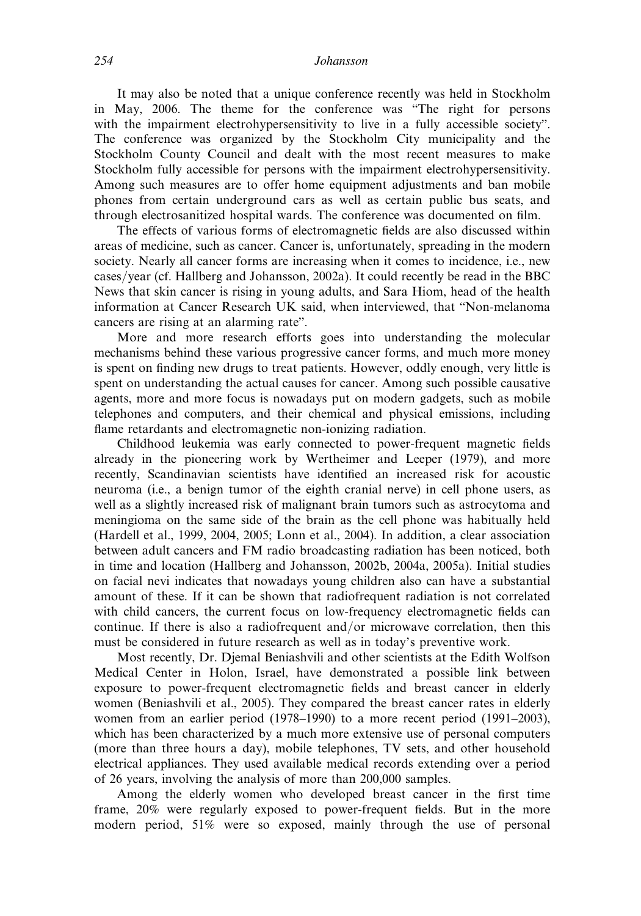It may also be noted that a unique conference recently was held in Stockholm in May, 2006. The theme for the conference was "The right for persons with the impairment electrohypersensitivity to live in a fully accessible society". The conference was organized by the Stockholm City municipality and the Stockholm County Council and dealt with the most recent measures to make Stockholm fully accessible for persons with the impairment electrohypersensitivity. Among such measures are to offer home equipment adjustments and ban mobile phones from certain underground cars as well as certain public bus seats, and through electrosanitized hospital wards. The conference was documented on film.

The effects of various forms of electromagnetic fields are also discussed within areas of medicine, such as cancer. Cancer is, unfortunately, spreading in the modern society. Nearly all cancer forms are increasing when it comes to incidence, i.e., new cases/year (cf. Hallberg and Johansson, 2002a). It could recently be read in the BBC News that skin cancer is rising in young adults, and Sara Hiom, head of the health information at Cancer Research UK said, when interviewed, that "Non-melanoma cancers are rising at an alarming rate".

More and more research efforts goes into understanding the molecular mechanisms behind these various progressive cancer forms, and much more money is spent on finding new drugs to treat patients. However, oddly enough, very little is spent on understanding the actual causes for cancer. Among such possible causative agents, more and more focus is nowadays put on modern gadgets, such as mobile telephones and computers, and their chemical and physical emissions, including flame retardants and electromagnetic non-ionizing radiation.

Childhood leukemia was early connected to power-frequent magnetic fields already in the pioneering work by Wertheimer and Leeper (1979), and more recently, Scandinavian scientists have identified an increased risk for acoustic neuroma (i.e., a benign tumor of the eighth cranial nerve) in cell phone users, as well as a slightly increased risk of malignant brain tumors such as astrocytoma and meningioma on the same side of the brain as the cell phone was habitually held (Hardell et al., 1999, 2004, 2005; Lonn et al., 2004). In addition, a clear association between adult cancers and FM radio broadcasting radiation has been noticed, both in time and location (Hallberg and Johansson, 2002b, 2004a, 2005a). Initial studies on facial nevi indicates that nowadays young children also can have a substantial amount of these. If it can be shown that radiofrequent radiation is not correlated with child cancers, the current focus on low-frequency electromagnetic fields can continue. If there is also a radiofrequent and/or microwave correlation, then this must be considered in future research as well as in today's preventive work.

Most recently, Dr. Djemal Beniashvili and other scientists at the Edith Wolfson Medical Center in Holon, Israel, have demonstrated a possible link between exposure to power-frequent electromagnetic fields and breast cancer in elderly women (Beniashvili et al., 2005). They compared the breast cancer rates in elderly women from an earlier period (1978–1990) to a more recent period (1991–2003), which has been characterized by a much more extensive use of personal computers (more than three hours a day), mobile telephones, TV sets, and other household electrical appliances. They used available medical records extending over a period of 26 years, involving the analysis of more than 200,000 samples.

Among the elderly women who developed breast cancer in the first time frame, 20% were regularly exposed to power-frequent fields. But in the more modern period, 51% were so exposed, mainly through the use of personal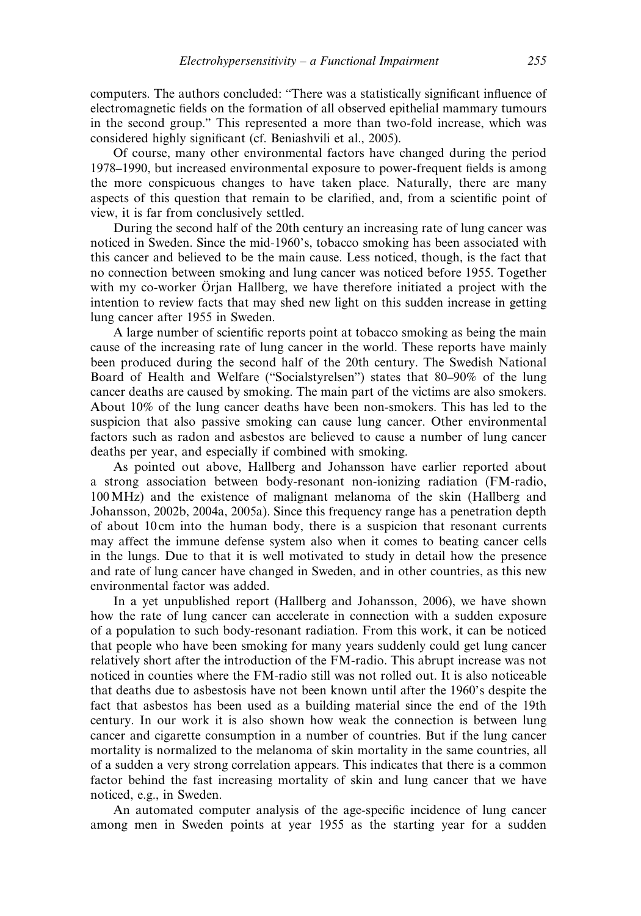computers. The authors concluded: "There was a statistically significant influence of electromagnetic fields on the formation of all observed epithelial mammary tumours in the second group." This represented a more than two-fold increase, which was considered highly significant (cf. Beniashvili et al., 2005).

Of course, many other environmental factors have changed during the period 1978–1990, but increased environmental exposure to power-frequent fields is among the more conspicuous changes to have taken place. Naturally, there are many aspects of this question that remain to be clarified, and, from a scientific point of view, it is far from conclusively settled.

During the second half of the 20th century an increasing rate of lung cancer was noticed in Sweden. Since the mid-1960's, tobacco smoking has been associated with this cancer and believed to be the main cause. Less noticed, though, is the fact that no connection between smoking and lung cancer was noticed before 1955. Together with my co-worker Örjan Hallberg, we have therefore initiated a project with the intention to review facts that may shed new light on this sudden increase in getting lung cancer after 1955 in Sweden.

A large number of scientific reports point at tobacco smoking as being the main cause of the increasing rate of lung cancer in the world. These reports have mainly been produced during the second half of the 20th century. The Swedish National Board of Health and Welfare ("Socialstyrelsen") states that 80–90% of the lung cancer deaths are caused by smoking. The main part of the victims are also smokers. About 10% of the lung cancer deaths have been non-smokers. This has led to the suspicion that also passive smoking can cause lung cancer. Other environmental factors such as radon and asbestos are believed to cause a number of lung cancer deaths per year, and especially if combined with smoking.

As pointed out above, Hallberg and Johansson have earlier reported about a strong association between body-resonant non-ionizing radiation (FM-radio, 100MHz) and the existence of malignant melanoma of the skin (Hallberg and Johansson, 2002b, 2004a, 2005a). Since this frequency range has a penetration depth of about 10 cm into the human body, there is a suspicion that resonant currents may affect the immune defense system also when it comes to beating cancer cells in the lungs. Due to that it is well motivated to study in detail how the presence and rate of lung cancer have changed in Sweden, and in other countries, as this new environmental factor was added.

In a yet unpublished report (Hallberg and Johansson, 2006), we have shown how the rate of lung cancer can accelerate in connection with a sudden exposure of a population to such body-resonant radiation. From this work, it can be noticed that people who have been smoking for many years suddenly could get lung cancer relatively short after the introduction of the FM-radio. This abrupt increase was not noticed in counties where the FM-radio still was not rolled out. It is also noticeable that deaths due to asbestosis have not been known until after the 1960's despite the fact that asbestos has been used as a building material since the end of the 19th century. In our work it is also shown how weak the connection is between lung cancer and cigarette consumption in a number of countries. But if the lung cancer mortality is normalized to the melanoma of skin mortality in the same countries, all of a sudden a very strong correlation appears. This indicates that there is a common factor behind the fast increasing mortality of skin and lung cancer that we have noticed, e.g., in Sweden.

An automated computer analysis of the age-specific incidence of lung cancer among men in Sweden points at year 1955 as the starting year for a sudden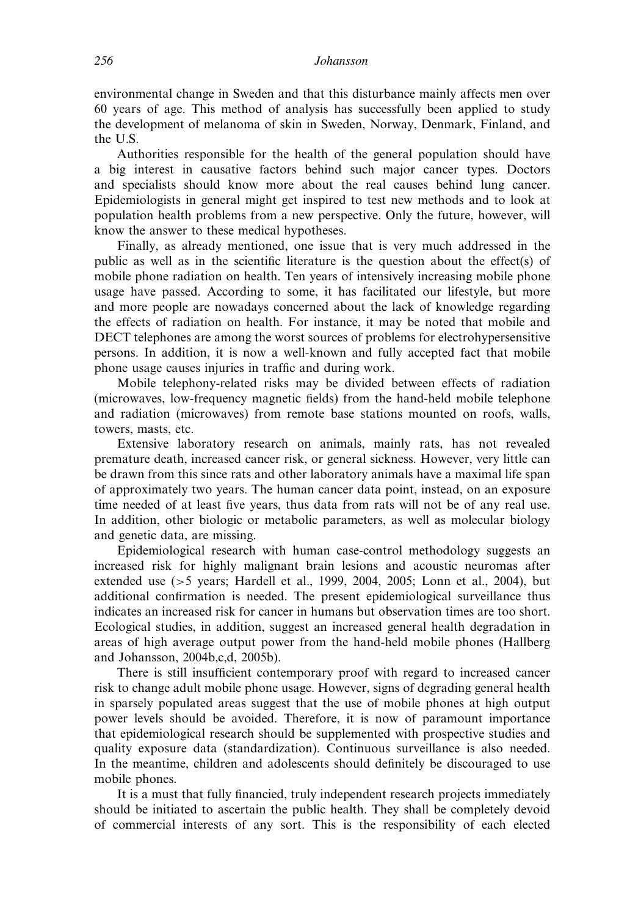environmental change in Sweden and that this disturbance mainly affects men over 60 years of age. This method of analysis has successfully been applied to study the development of melanoma of skin in Sweden, Norway, Denmark, Finland, and the U.S.

Authorities responsible for the health of the general population should have a big interest in causative factors behind such major cancer types. Doctors and specialists should know more about the real causes behind lung cancer. Epidemiologists in general might get inspired to test new methods and to look at population health problems from a new perspective. Only the future, however, will know the answer to these medical hypotheses.

Finally, as already mentioned, one issue that is very much addressed in the public as well as in the scientific literature is the question about the effect(s) of mobile phone radiation on health. Ten years of intensively increasing mobile phone usage have passed. According to some, it has facilitated our lifestyle, but more and more people are nowadays concerned about the lack of knowledge regarding the effects of radiation on health. For instance, it may be noted that mobile and DECT telephones are among the worst sources of problems for electrohypersensitive persons. In addition, it is now a well-known and fully accepted fact that mobile phone usage causes injuries in traffic and during work.

Mobile telephony-related risks may be divided between effects of radiation (microwaves, low-frequency magnetic fields) from the hand-held mobile telephone and radiation (microwaves) from remote base stations mounted on roofs, walls, towers, masts, etc.

Extensive laboratory research on animals, mainly rats, has not revealed premature death, increased cancer risk, or general sickness. However, very little can be drawn from this since rats and other laboratory animals have a maximal life span of approximately two years. The human cancer data point, instead, on an exposure time needed of at least five years, thus data from rats will not be of any real use. In addition, other biologic or metabolic parameters, as well as molecular biology and genetic data, are missing.

Epidemiological research with human case-control methodology suggests an increased risk for highly malignant brain lesions and acoustic neuromas after extended use (>5 years; Hardell et al., 1999, 2004, 2005; Lonn et al., 2004), but additional confirmation is needed. The present epidemiological surveillance thus indicates an increased risk for cancer in humans but observation times are too short. Ecological studies, in addition, suggest an increased general health degradation in areas of high average output power from the hand-held mobile phones (Hallberg and Johansson, 2004b,c,d, 2005b).

There is still insufficient contemporary proof with regard to increased cancer risk to change adult mobile phone usage. However, signs of degrading general health in sparsely populated areas suggest that the use of mobile phones at high output power levels should be avoided. Therefore, it is now of paramount importance that epidemiological research should be supplemented with prospective studies and quality exposure data (standardization). Continuous surveillance is also needed. In the meantime, children and adolescents should definitely be discouraged to use mobile phones.

It is a must that fully financied, truly independent research projects immediately should be initiated to ascertain the public health. They shall be completely devoid of commercial interests of any sort. This is the responsibility of each elected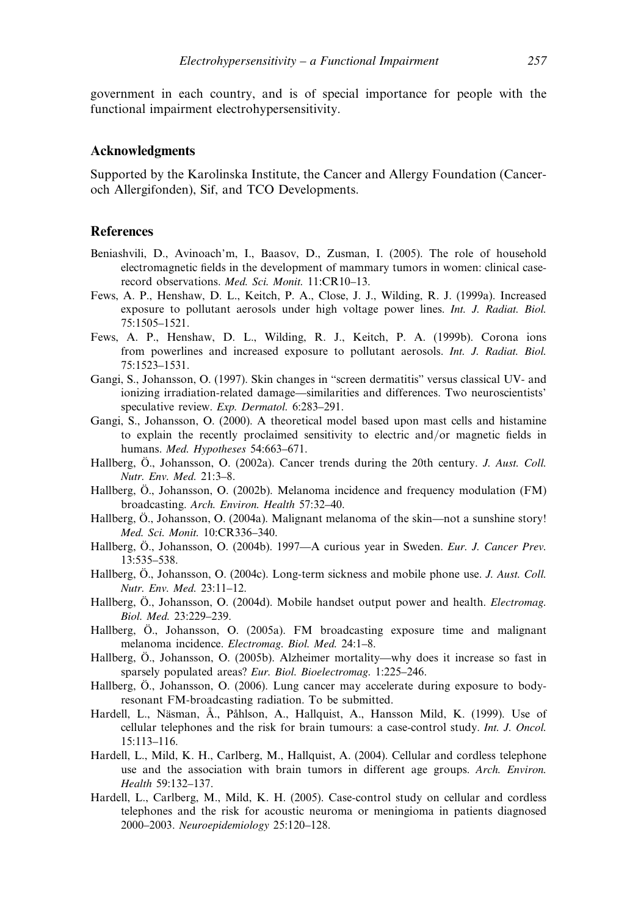government in each country, and is of special importance for people with the functional impairment electrohypersensitivity.

## **Acknowledgments**

Supported by the Karolinska Institute, the Cancer and Allergy Foundation (Canceroch Allergifonden), Sif, and TCO Developments.

## **References**

- Beniashvili, D., Avinoach'm, I., Baasov, D., Zusman, I. (2005). The role of household electromagnetic fields in the development of mammary tumors in women: clinical caserecord observations. *Med. Sci. Monit.* 11:CR10–13.
- Fews, A. P., Henshaw, D. L., Keitch, P. A., Close, J. J., Wilding, R. J. (1999a). Increased exposure to pollutant aerosols under high voltage power lines. *Int. J. Radiat. Biol.* 75:1505–1521.
- Fews, A. P., Henshaw, D. L., Wilding, R. J., Keitch, P. A. (1999b). Corona ions from powerlines and increased exposure to pollutant aerosols. *Int. J. Radiat. Biol.* 75:1523–1531.
- Gangi, S., Johansson, O. (1997). Skin changes in "screen dermatitis" versus classical UV- and ionizing irradiation-related damage—similarities and differences. Two neuroscientists' speculative review. *Exp. Dermatol.* 6:283–291.
- Gangi, S., Johansson, O. (2000). A theoretical model based upon mast cells and histamine to explain the recently proclaimed sensitivity to electric and/or magnetic fields in humans. *Med. Hypotheses* 54:663–671.
- Hallberg, Ö., Johansson, O. (2002a). Cancer trends during the 20th century. *J. Aust. Coll. Nutr. Env. Med.* 21:3–8.
- Hallberg, Ö., Johansson, O. (2002b). Melanoma incidence and frequency modulation (FM) broadcasting. *Arch. Environ. Health* 57:32–40.
- Hallberg, Ö., Johansson, O. (2004a). Malignant melanoma of the skin—not a sunshine story! *Med. Sci. Monit.* 10:CR336–340.
- Hallberg, Ö., Johansson, O. (2004b). 1997—A curious year in Sweden. *Eur. J. Cancer Prev.* 13:535–538.
- Hallberg, Ö., Johansson, O. (2004c). Long-term sickness and mobile phone use. *J. Aust. Coll. Nutr. Env. Med.* 23:11–12.
- Hallberg, Ö., Johansson, O. (2004d). Mobile handset output power and health. *Electromag. Biol. Med.* 23:229–239.
- Hallberg, Ö., Johansson, O. (2005a). FM broadcasting exposure time and malignant melanoma incidence. *Electromag. Biol. Med.* 24:1–8.
- Hallberg, Ö., Johansson, O. (2005b). Alzheimer mortality—why does it increase so fast in sparsely populated areas? *Eur. Biol. Bioelectromag.* 1:225–246.
- Hallberg, Ö., Johansson, O. (2006). Lung cancer may accelerate during exposure to bodyresonant FM-broadcasting radiation. To be submitted.
- Hardell, L., Näsman, Å., Påhlson, A., Hallquist, A., Hansson Mild, K. (1999). Use of cellular telephones and the risk for brain tumours: a case-control study. *Int. J. Oncol.* 15:113–116.
- Hardell, L., Mild, K. H., Carlberg, M., Hallquist, A. (2004). Cellular and cordless telephone use and the association with brain tumors in different age groups. *Arch. Environ. Health* 59:132–137.
- Hardell, L., Carlberg, M., Mild, K. H. (2005). Case-control study on cellular and cordless telephones and the risk for acoustic neuroma or meningioma in patients diagnosed 2000–2003. *Neuroepidemiology* 25:120–128.